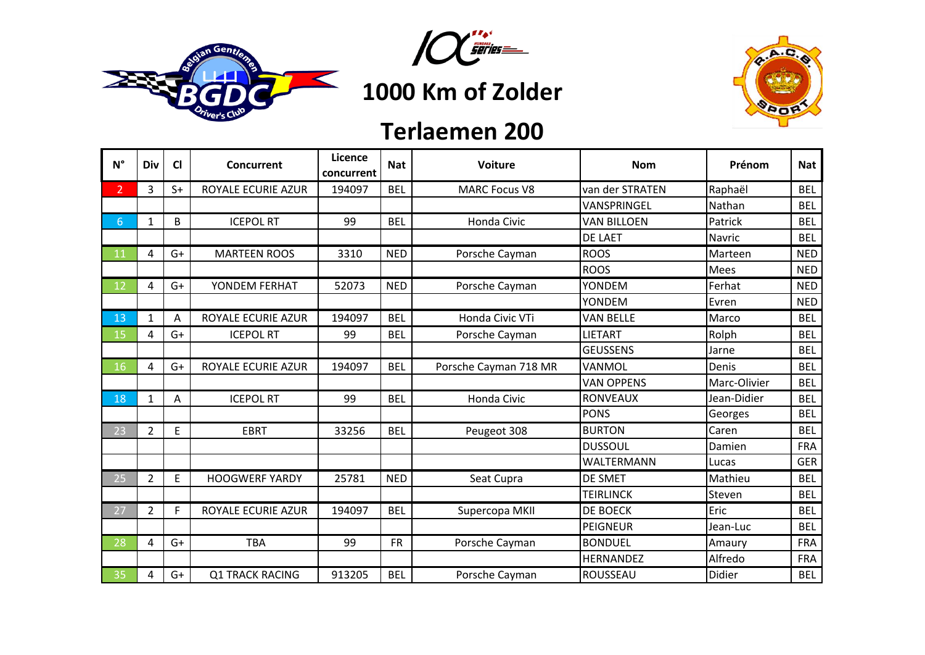





## **Terlaemen 200**

| $N^{\circ}$    | Div            | <b>CI</b> | Concurrent             | Licence<br>concurrent | <b>Nat</b> | <b>Voiture</b>        | <b>Nom</b>         | Prénom       | <b>Nat</b> |
|----------------|----------------|-----------|------------------------|-----------------------|------------|-----------------------|--------------------|--------------|------------|
| 2 <sup>1</sup> | 3              | $S+$      | ROYALE ECURIE AZUR     | 194097                | <b>BEL</b> | <b>MARC Focus V8</b>  | van der STRATEN    | Raphaël      | <b>BEL</b> |
|                |                |           |                        |                       |            |                       | VANSPRINGEL        | Nathan       | <b>BEL</b> |
| 6              | $\mathbf 1$    | B         | <b>ICEPOL RT</b>       | 99                    | <b>BEL</b> | <b>Honda Civic</b>    | <b>VAN BILLOEN</b> | Patrick      | <b>BEL</b> |
|                |                |           |                        |                       |            |                       | <b>DE LAET</b>     | Navric       | <b>BEL</b> |
| 11             | 4              | $G+$      | <b>MARTEEN ROOS</b>    | 3310                  | <b>NED</b> | Porsche Cayman        | <b>ROOS</b>        | Marteen      | <b>NED</b> |
|                |                |           |                        |                       |            |                       | <b>ROOS</b>        | Mees         | <b>NED</b> |
| 12             | 4              | $G+$      | YONDEM FERHAT          | 52073                 | <b>NED</b> | Porsche Cayman        | YONDEM             | Ferhat       | <b>NED</b> |
|                |                |           |                        |                       |            |                       | <b>YONDEM</b>      | Evren        | <b>NED</b> |
| 13             | $\mathbf{1}$   | Α         | ROYALE ECURIE AZUR     | 194097                | <b>BEL</b> | Honda Civic VTi       | <b>VAN BELLE</b>   | Marco        | <b>BEL</b> |
| 15             | 4              | $G+$      | <b>ICEPOL RT</b>       | 99                    | <b>BEL</b> | Porsche Cayman        | <b>LIETART</b>     | Rolph        | <b>BEL</b> |
|                |                |           |                        |                       |            |                       | <b>GEUSSENS</b>    | Jarne        | <b>BEL</b> |
| 16             | 4              | $G+$      | ROYALE ECURIE AZUR     | 194097                | <b>BEL</b> | Porsche Cayman 718 MR | VANMOL             | Denis        | <b>BEL</b> |
|                |                |           |                        |                       |            |                       | <b>VAN OPPENS</b>  | Marc-Olivier | <b>BEL</b> |
| 18             | $\mathbf{1}$   | A         | <b>ICEPOL RT</b>       | 99                    | <b>BEL</b> | Honda Civic           | <b>RONVEAUX</b>    | Jean-Didier  | <b>BEL</b> |
|                |                |           |                        |                       |            |                       | <b>PONS</b>        | Georges      | <b>BEL</b> |
| 23             | $\overline{2}$ | E         | <b>EBRT</b>            | 33256                 | <b>BEL</b> | Peugeot 308           | <b>BURTON</b>      | Caren        | <b>BEL</b> |
|                |                |           |                        |                       |            |                       | <b>DUSSOUL</b>     | Damien       | <b>FRA</b> |
|                |                |           |                        |                       |            |                       | WALTERMANN         | Lucas        | <b>GER</b> |
| 25             | $\overline{2}$ | E         | <b>HOOGWERF YARDY</b>  | 25781                 | <b>NED</b> | Seat Cupra            | <b>DE SMET</b>     | Mathieu      | <b>BEL</b> |
|                |                |           |                        |                       |            |                       | <b>TEIRLINCK</b>   | Steven       | <b>BEL</b> |
| 27             | $\overline{2}$ | F.        | ROYALE ECURIE AZUR     | 194097                | <b>BEL</b> | Supercopa MKII        | DE BOECK           | Eric         | <b>BEL</b> |
|                |                |           |                        |                       |            |                       | <b>PEIGNEUR</b>    | Jean-Luc     | <b>BEL</b> |
| 28             | 4              | $G+$      | <b>TBA</b>             | 99                    | <b>FR</b>  | Porsche Cayman        | <b>BONDUEL</b>     | Amaury       | <b>FRA</b> |
|                |                |           |                        |                       |            |                       | <b>HERNANDEZ</b>   | Alfredo      | <b>FRA</b> |
| $-35$          | 4              | $G+$      | <b>Q1 TRACK RACING</b> | 913205                | <b>BEL</b> | Porsche Cayman        | ROUSSEAU           | Didier       | <b>BEL</b> |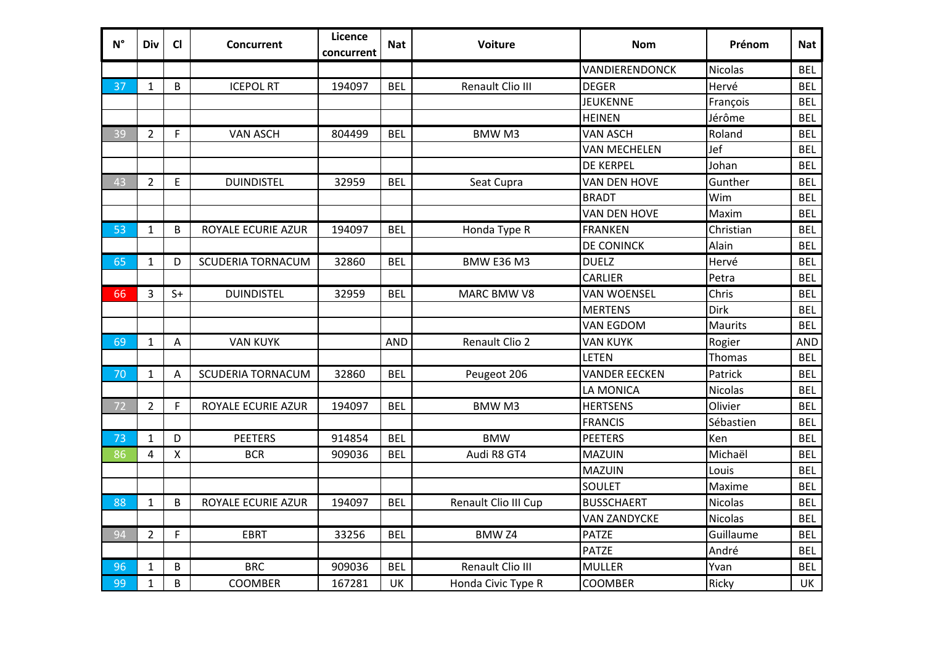| $N^{\circ}$ | Div            | $CI$         | Concurrent               | Licence<br>concurrent | <b>Nat</b> | <b>Voiture</b>        | <b>Nom</b>           | Prénom         | <b>Nat</b> |
|-------------|----------------|--------------|--------------------------|-----------------------|------------|-----------------------|----------------------|----------------|------------|
|             |                |              |                          |                       |            |                       | VANDIERENDONCK       | Nicolas        | <b>BEL</b> |
| 37          | $\mathbf{1}$   | B            | <b>ICEPOL RT</b>         | 194097                | <b>BEL</b> | Renault Clio III      | <b>DEGER</b>         | Hervé          | <b>BEL</b> |
|             |                |              |                          |                       |            |                       | <b>JEUKENNE</b>      | François       | <b>BEL</b> |
|             |                |              |                          |                       |            |                       | <b>HEINEN</b>        | Jérôme         | <b>BEL</b> |
| 39          | $\overline{2}$ | F            | <b>VAN ASCH</b>          | 804499                | <b>BEL</b> | <b>BMWM3</b>          | <b>VAN ASCH</b>      | Roland         | <b>BEL</b> |
|             |                |              |                          |                       |            |                       | <b>VAN MECHELEN</b>  | Jef            | <b>BEL</b> |
|             |                |              |                          |                       |            |                       | <b>DE KERPEL</b>     | Johan          | <b>BEL</b> |
| 43          | $\overline{2}$ | E            | <b>DUINDISTEL</b>        | 32959                 | <b>BEL</b> | Seat Cupra            | VAN DEN HOVE         | Gunther        | <b>BEL</b> |
|             |                |              |                          |                       |            |                       | <b>BRADT</b>         | Wim            | <b>BEL</b> |
|             |                |              |                          |                       |            |                       | <b>VAN DEN HOVE</b>  | Maxim          | <b>BEL</b> |
| 53          | $\mathbf{1}$   | B            | ROYALE ECURIE AZUR       | 194097                | <b>BEL</b> | Honda Type R          | <b>FRANKEN</b>       | Christian      | <b>BEL</b> |
|             |                |              |                          |                       |            |                       | <b>DE CONINCK</b>    | Alain          | <b>BEL</b> |
| 65          | $\mathbf{1}$   | D            | <b>SCUDERIA TORNACUM</b> | 32860                 | <b>BEL</b> | <b>BMW E36 M3</b>     | <b>DUELZ</b>         | Hervé          | <b>BEL</b> |
|             |                |              |                          |                       |            |                       | <b>CARLIER</b>       | Petra          | <b>BEL</b> |
| 66          | 3              | $S+$         | <b>DUINDISTEL</b>        | 32959                 | <b>BEL</b> | MARC BMW V8           | <b>VAN WOENSEL</b>   | Chris          | <b>BEL</b> |
|             |                |              |                          |                       |            |                       | <b>MERTENS</b>       | Dirk           | <b>BEL</b> |
|             |                |              |                          |                       |            |                       | <b>VAN EGDOM</b>     | Maurits        | <b>BEL</b> |
| 69          | $\mathbf{1}$   | $\mathsf{A}$ | <b>VAN KUYK</b>          |                       | <b>AND</b> | <b>Renault Clio 2</b> | <b>VAN KUYK</b>      | Rogier         | <b>AND</b> |
|             |                |              |                          |                       |            |                       | <b>LETEN</b>         | Thomas         | <b>BEL</b> |
| 70          | $\mathbf{1}$   | A            | <b>SCUDERIA TORNACUM</b> | 32860                 | <b>BEL</b> | Peugeot 206           | <b>VANDER EECKEN</b> | Patrick        | <b>BEL</b> |
|             |                |              |                          |                       |            |                       | LA MONICA            | <b>Nicolas</b> | <b>BEL</b> |
| 72          | $\overline{2}$ | F.           | ROYALE ECURIE AZUR       | 194097                | <b>BEL</b> | <b>BMWM3</b>          | <b>HERTSENS</b>      | Olivier        | <b>BEL</b> |
|             |                |              |                          |                       |            |                       | <b>FRANCIS</b>       | Sébastien      | <b>BEL</b> |
| 73          | $\mathbf{1}$   | D            | <b>PEETERS</b>           | 914854                | <b>BEL</b> | <b>BMW</b>            | <b>PEETERS</b>       | Ken            | <b>BEL</b> |
| 86          | 4              | X            | <b>BCR</b>               | 909036                | <b>BEL</b> | Audi R8 GT4           | <b>MAZUIN</b>        | Michaël        | <b>BEL</b> |
|             |                |              |                          |                       |            |                       | <b>MAZUIN</b>        | Louis          | <b>BEL</b> |
|             |                |              |                          |                       |            |                       | <b>SOULET</b>        | Maxime         | <b>BEL</b> |
| 88          | $\mathbf{1}$   | B            | ROYALE ECURIE AZUR       | 194097                | <b>BEL</b> | Renault Clio III Cup  | <b>BUSSCHAERT</b>    | <b>Nicolas</b> | <b>BEL</b> |
|             |                |              |                          |                       |            |                       | <b>VAN ZANDYCKE</b>  | <b>Nicolas</b> | <b>BEL</b> |
| 94          | $\overline{2}$ | F            | <b>EBRT</b>              | 33256                 | <b>BEL</b> | BMW <sub>Z4</sub>     | <b>PATZE</b>         | Guillaume      | <b>BEL</b> |
|             |                |              |                          |                       |            |                       | <b>PATZE</b>         | André          | <b>BEL</b> |
| 96          | $\mathbf{1}$   | B            | <b>BRC</b>               | 909036                | <b>BEL</b> | Renault Clio III      | <b>MULLER</b>        | Yvan           | <b>BEL</b> |
| 99          | $\mathbf{1}$   | B            | <b>COOMBER</b>           | 167281                | UK         | Honda Civic Type R    | <b>COOMBER</b>       | Ricky          | UK         |